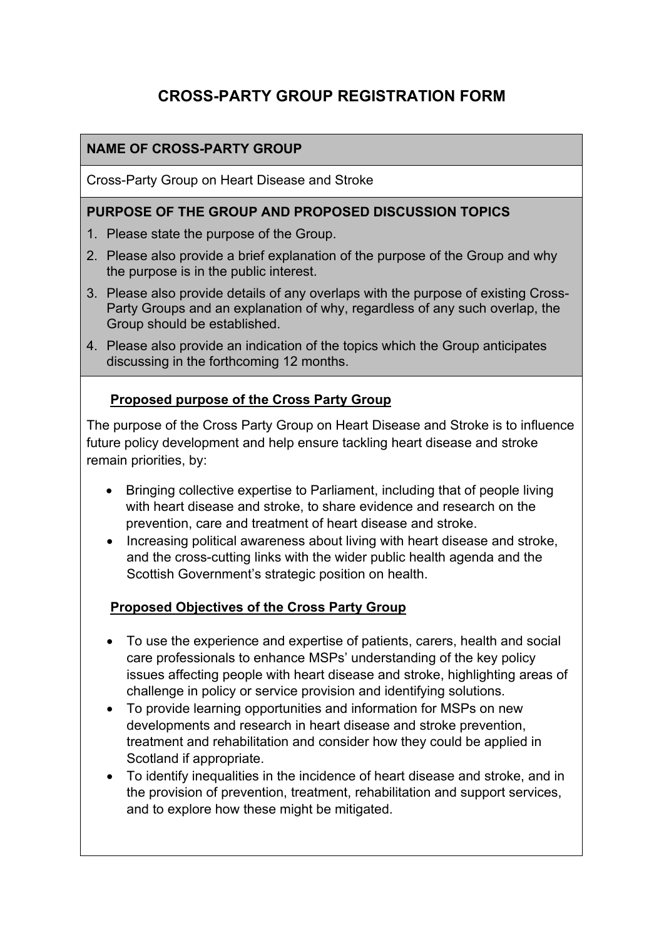# **CROSS-PARTY GROUP REGISTRATION FORM**

## **NAME OF CROSS-PARTY GROUP**

Cross-Party Group on Heart Disease and Stroke

#### **PURPOSE OF THE GROUP AND PROPOSED DISCUSSION TOPICS**

- 1. Please state the purpose of the Group.
- 2. Please also provide a brief explanation of the purpose of the Group and why the purpose is in the public interest.
- 3. Please also provide details of any overlaps with the purpose of existing Cross-Party Groups and an explanation of why, regardless of any such overlap, the Group should be established.
- 4. Please also provide an indication of the topics which the Group anticipates discussing in the forthcoming 12 months.

### **Proposed purpose of the Cross Party Group**

The purpose of the Cross Party Group on Heart Disease and Stroke is to influence future policy development and help ensure tackling heart disease and stroke remain priorities, by:

- Bringing collective expertise to Parliament, including that of people living with heart disease and stroke, to share evidence and research on the prevention, care and treatment of heart disease and stroke.
- Increasing political awareness about living with heart disease and stroke, and the cross-cutting links with the wider public health agenda and the Scottish Government's strategic position on health.

#### **Proposed Objectives of the Cross Party Group**

- To use the experience and expertise of patients, carers, health and social care professionals to enhance MSPs' understanding of the key policy issues affecting people with heart disease and stroke, highlighting areas of challenge in policy or service provision and identifying solutions.
- To provide learning opportunities and information for MSPs on new developments and research in heart disease and stroke prevention, treatment and rehabilitation and consider how they could be applied in Scotland if appropriate.
- To identify inequalities in the incidence of heart disease and stroke, and in the provision of prevention, treatment, rehabilitation and support services, and to explore how these might be mitigated.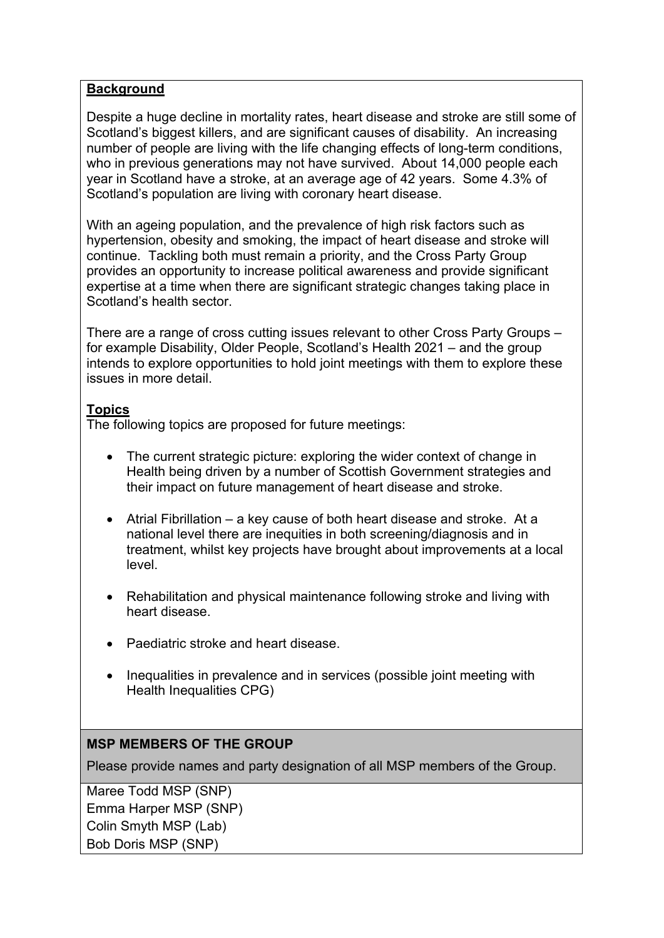#### **Background**

Despite a huge decline in mortality rates, heart disease and stroke are still some of Scotland's biggest killers, and are significant causes of disability. An increasing number of people are living with the life changing effects of long-term conditions, who in previous generations may not have survived. About 14,000 people each year in Scotland have a stroke, at an average age of 42 years. Some 4.3% of Scotland's population are living with coronary heart disease.

With an ageing population, and the prevalence of high risk factors such as hypertension, obesity and smoking, the impact of heart disease and stroke will continue. Tackling both must remain a priority, and the Cross Party Group provides an opportunity to increase political awareness and provide significant expertise at a time when there are significant strategic changes taking place in Scotland's health sector.

There are a range of cross cutting issues relevant to other Cross Party Groups – for example Disability, Older People, Scotland's Health 2021 – and the group intends to explore opportunities to hold joint meetings with them to explore these issues in more detail.

#### **Topics**

The following topics are proposed for future meetings:

- The current strategic picture: exploring the wider context of change in Health being driven by a number of Scottish Government strategies and their impact on future management of heart disease and stroke.
- Atrial Fibrillation a key cause of both heart disease and stroke. At a national level there are inequities in both screening/diagnosis and in treatment, whilst key projects have brought about improvements at a local level.
- Rehabilitation and physical maintenance following stroke and living with heart disease.
- Paediatric stroke and heart disease.
- Inequalities in prevalence and in services (possible joint meeting with Health Inequalities CPG)

#### **MSP MEMBERS OF THE GROUP**

Please provide names and party designation of all MSP members of the Group.

Maree Todd MSP (SNP) Emma Harper MSP (SNP) Colin Smyth MSP (Lab) Bob Doris MSP (SNP)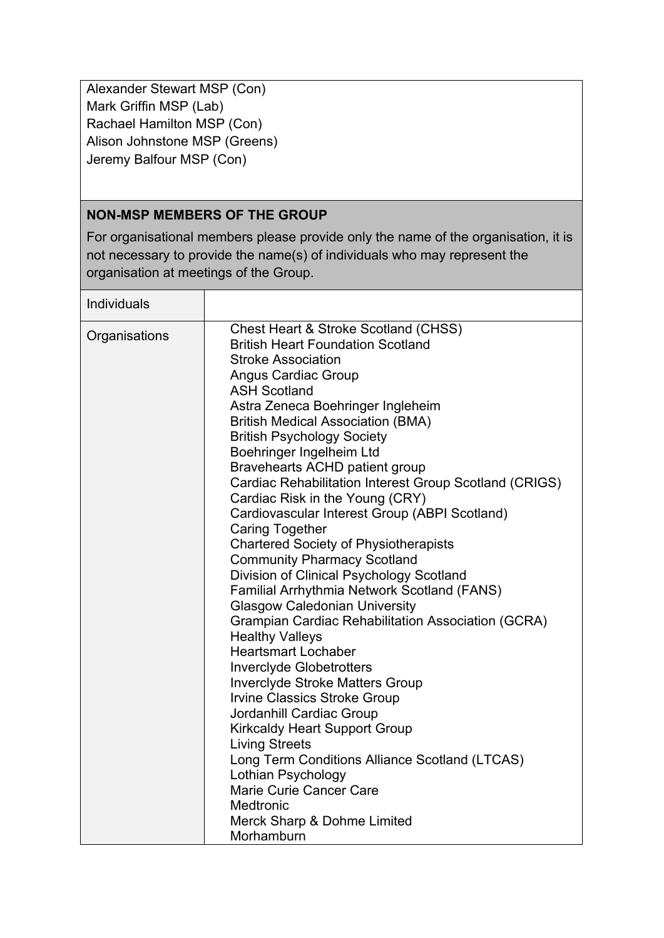Alexander Stewart MSP (Con) Mark Griffin MSP (Lab) Rachael Hamilton MSP (Con) Alison Johnstone MSP (Greens) Jeremy Balfour MSP (Con)

### **NON-MSP MEMBERS OF THE GROUP**

For organisational members please provide only the name of the organisation, it is not necessary to provide the name(s) of individuals who may represent the organisation at meetings of the Group.

Individuals Organisations Chest Heart & Stroke Scotland (CHSS) British Heart Foundation Scotland Stroke Association Angus Cardiac Group ASH Scotland Astra Zeneca Boehringer Ingleheim British Medical Association (BMA) British Psychology Society Boehringer Ingelheim Ltd Bravehearts ACHD patient group Cardiac Rehabilitation Interest Group Scotland (CRIGS) Cardiac Risk in the Young (CRY) Cardiovascular Interest Group (ABPI Scotland) Caring Together Chartered Society of Physiotherapists Community Pharmacy Scotland Division of Clinical Psychology Scotland Familial Arrhythmia Network Scotland (FANS) Glasgow Caledonian University Grampian Cardiac Rehabilitation Association (GCRA) Healthy Valleys Heartsmart Lochaber Inverclyde Globetrotters Inverclyde Stroke Matters Group Irvine Classics Stroke Group Jordanhill Cardiac Group Kirkcaldy Heart Support Group Living Streets Long Term Conditions Alliance Scotland (LTCAS) Lothian Psychology Marie Curie Cancer Care **Medtronic** Merck Sharp & Dohme Limited Morhamburn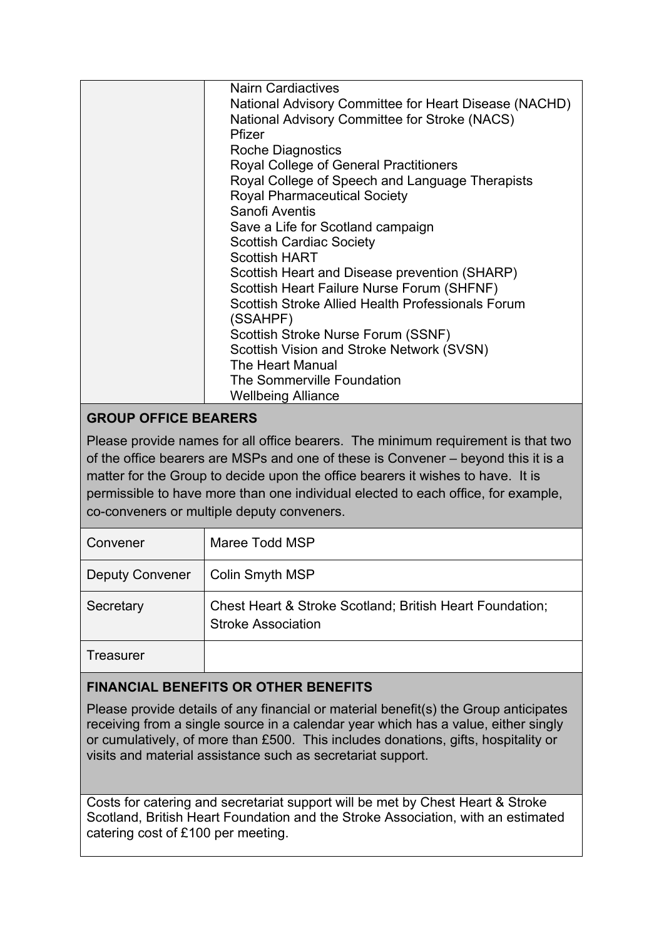| <b>Nairn Cardiactives</b>                             |
|-------------------------------------------------------|
| National Advisory Committee for Heart Disease (NACHD) |
| National Advisory Committee for Stroke (NACS)         |
| Pfizer                                                |
| <b>Roche Diagnostics</b>                              |
| Royal College of General Practitioners                |
| Royal College of Speech and Language Therapists       |
| <b>Royal Pharmaceutical Society</b>                   |
| Sanofi Aventis                                        |
| Save a Life for Scotland campaign                     |
| <b>Scottish Cardiac Society</b>                       |
| <b>Scottish HART</b>                                  |
| Scottish Heart and Disease prevention (SHARP)         |
| Scottish Heart Failure Nurse Forum (SHFNF)            |
| Scottish Stroke Allied Health Professionals Forum     |
| (SSAHPF)                                              |
| Scottish Stroke Nurse Forum (SSNF)                    |
| Scottish Vision and Stroke Network (SVSN)             |
| The Heart Manual                                      |
| The Sommerville Foundation                            |
| <b>Wellbeing Alliance</b>                             |

# **GROUP OFFICE BEARERS**

Please provide names for all office bearers. The minimum requirement is that two of the office bearers are MSPs and one of these is Convener – beyond this it is a matter for the Group to decide upon the office bearers it wishes to have. It is permissible to have more than one individual elected to each office, for example, co-conveners or multiple deputy conveners.

| Convener               | Maree Todd MSP                                                                        |
|------------------------|---------------------------------------------------------------------------------------|
| <b>Deputy Convener</b> | Colin Smyth MSP                                                                       |
| Secretary              | Chest Heart & Stroke Scotland; British Heart Foundation;<br><b>Stroke Association</b> |
| Treasurer              |                                                                                       |

### **FINANCIAL BENEFITS OR OTHER BENEFITS**

Please provide details of any financial or material benefit(s) the Group anticipates receiving from a single source in a calendar year which has a value, either singly or cumulatively, of more than £500. This includes donations, gifts, hospitality or visits and material assistance such as secretariat support.

Costs for catering and secretariat support will be met by Chest Heart & Stroke Scotland, British Heart Foundation and the Stroke Association, with an estimated catering cost of £100 per meeting.